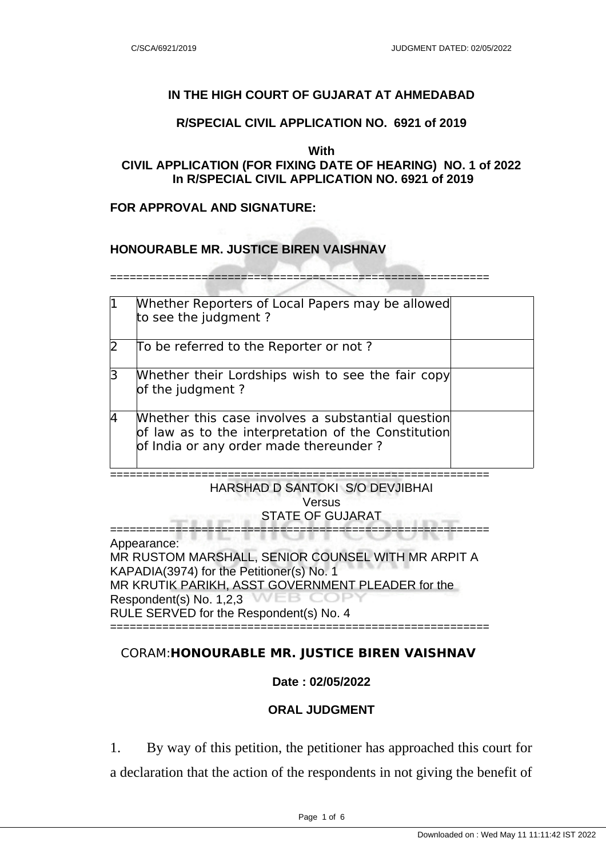### **IN THE HIGH COURT OF GUJARAT AT AHMEDABAD**

#### **R/SPECIAL CIVIL APPLICATION NO. 6921 of 2019**

#### **With**

## **CIVIL APPLICATION (FOR FIXING DATE OF HEARING) NO. 1 of 2022 In R/SPECIAL CIVIL APPLICATION NO. 6921 of 2019**

#### **FOR APPROVAL AND SIGNATURE:**

#### **HONOURABLE MR. JUSTICE BIREN VAISHNAV**

==========================================================

| $\mathbf 1$  | Whether Reporters of Local Papers may be allowed<br>to see the judgment?                                                                           |  |
|--------------|----------------------------------------------------------------------------------------------------------------------------------------------------|--|
| $\mathsf{D}$ | To be referred to the Reporter or not?                                                                                                             |  |
| $\mathsf B$  | Whether their Lordships wish to see the fair copy<br>of the judgment?                                                                              |  |
| 4            | Whether this case involves a substantial question<br>of law as to the interpretation of the Constitution<br>of India or any order made thereunder? |  |

## HARSHAD D SANTOKI S/O DEVJIBHAI Versus STATE OF GUJARAT

==========================================================

==========================================================

Appearance:

MR RUSTOM MARSHALL, SENIOR COUNSEL WITH MR ARPIT A KAPADIA(3974) for the Petitioner(s) No. 1 MR KRUTIK PARIKH, ASST GOVERNMENT PLEADER for the veb co Respondent(s) No. 1,2,3 RULE SERVED for the Respondent(s) No. 4 ==========================================================

## CORAM:**HONOURABLE MR. JUSTICE BIREN VAISHNAV**

### **Date : 02/05/2022**

### **ORAL JUDGMENT**

1. By way of this petition, the petitioner has approached this court for a declaration that the action of the respondents in not giving the benefit of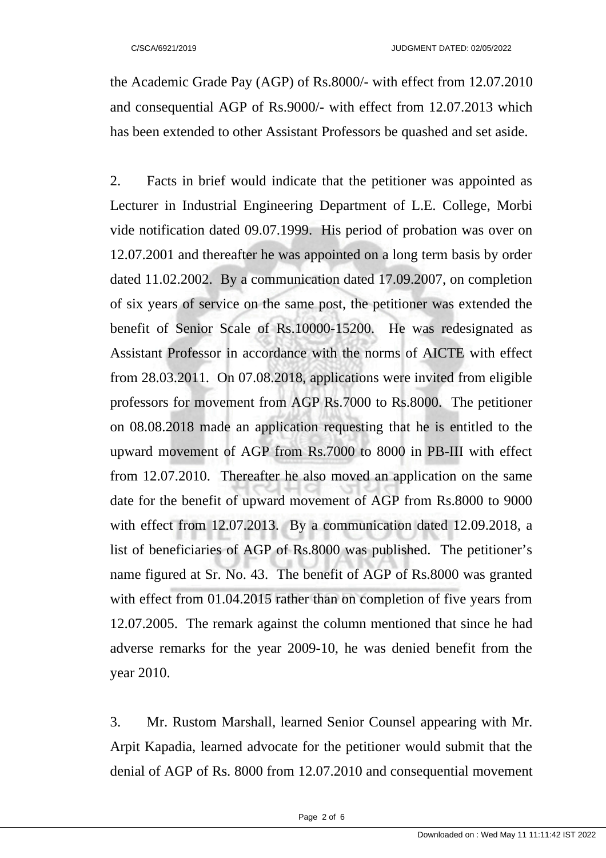the Academic Grade Pay (AGP) of Rs.8000/- with effect from 12.07.2010 and consequential AGP of Rs.9000/- with effect from 12.07.2013 which has been extended to other Assistant Professors be quashed and set aside.

2. Facts in brief would indicate that the petitioner was appointed as Lecturer in Industrial Engineering Department of L.E. College, Morbi vide notification dated 09.07.1999. His period of probation was over on 12.07.2001 and thereafter he was appointed on a long term basis by order dated 11.02.2002. By a communication dated 17.09.2007, on completion of six years of service on the same post, the petitioner was extended the benefit of Senior Scale of Rs.10000-15200. He was redesignated as Assistant Professor in accordance with the norms of AICTE with effect from 28.03.2011. On 07.08.2018, applications were invited from eligible professors for movement from AGP Rs.7000 to Rs.8000. The petitioner on 08.08.2018 made an application requesting that he is entitled to the upward movement of AGP from Rs.7000 to 8000 in PB-III with effect from 12.07.2010. Thereafter he also moved an application on the same date for the benefit of upward movement of AGP from Rs.8000 to 9000 with effect from 12.07.2013. By a communication dated 12.09.2018, a list of beneficiaries of AGP of Rs.8000 was published. The petitioner's name figured at Sr. No. 43. The benefit of AGP of Rs.8000 was granted with effect from 01.04.2015 rather than on completion of five years from 12.07.2005. The remark against the column mentioned that since he had adverse remarks for the year 2009-10, he was denied benefit from the year 2010.

3. Mr. Rustom Marshall, learned Senior Counsel appearing with Mr. Arpit Kapadia, learned advocate for the petitioner would submit that the denial of AGP of Rs. 8000 from 12.07.2010 and consequential movement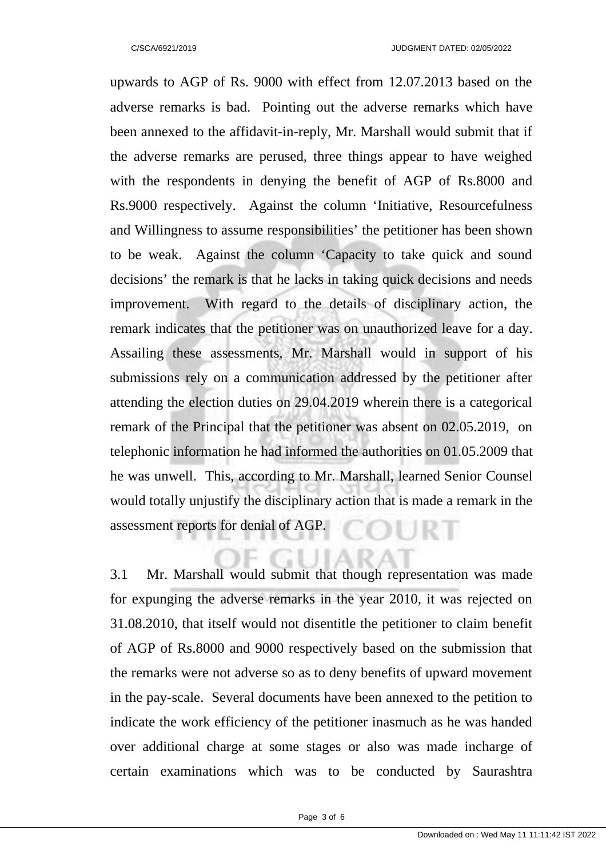upwards to AGP of Rs. 9000 with effect from 12.07.2013 based on the adverse remarks is bad. Pointing out the adverse remarks which have been annexed to the affidavit-in-reply, Mr. Marshall would submit that if the adverse remarks are perused, three things appear to have weighed with the respondents in denying the benefit of AGP of Rs.8000 and Rs.9000 respectively. Against the column 'Initiative, Resourcefulness and Willingness to assume responsibilities' the petitioner has been shown to be weak. Against the column 'Capacity to take quick and sound decisions' the remark is that he lacks in taking quick decisions and needs improvement. With regard to the details of disciplinary action, the remark indicates that the petitioner was on unauthorized leave for a day. Assailing these assessments, Mr. Marshall would in support of his submissions rely on a communication addressed by the petitioner after attending the election duties on 29.04.2019 wherein there is a categorical remark of the Principal that the petitioner was absent on 02.05.2019, on telephonic information he had informed the authorities on 01.05.2009 that he was unwell. This, according to Mr. Marshall, learned Senior Counsel would totally unjustify the disciplinary action that is made a remark in the assessment reports for denial of AGP. SURAF

3.1 Mr. Marshall would submit that though representation was made for expunging the adverse remarks in the year 2010, it was rejected on 31.08.2010, that itself would not disentitle the petitioner to claim benefit of AGP of Rs.8000 and 9000 respectively based on the submission that the remarks were not adverse so as to deny benefits of upward movement in the pay-scale. Several documents have been annexed to the petition to indicate the work efficiency of the petitioner inasmuch as he was handed over additional charge at some stages or also was made incharge of certain examinations which was to be conducted by Saurashtra

 $\Box$   $\land$   $\land$   $\land$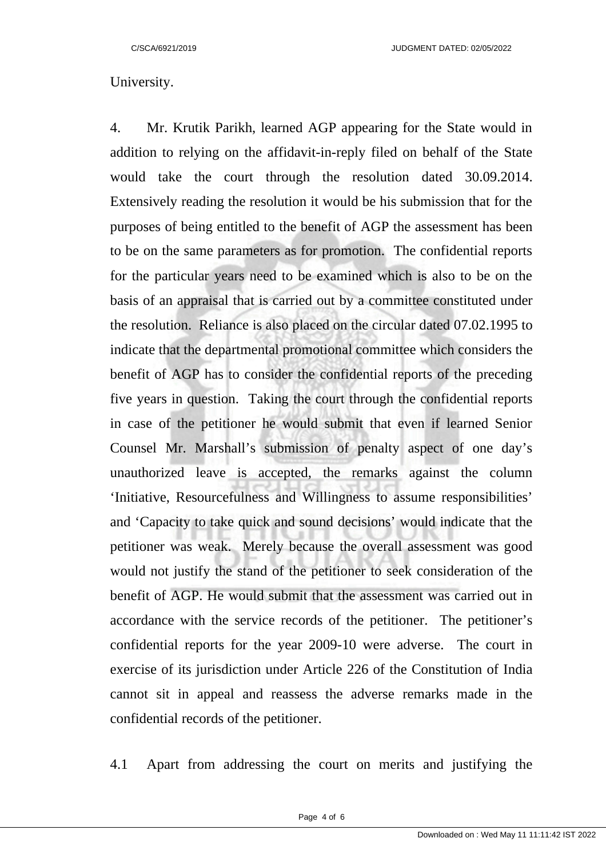# University.

4. Mr. Krutik Parikh, learned AGP appearing for the State would in addition to relying on the affidavit-in-reply filed on behalf of the State would take the court through the resolution dated 30.09.2014. Extensively reading the resolution it would be his submission that for the purposes of being entitled to the benefit of AGP the assessment has been to be on the same parameters as for promotion. The confidential reports for the particular years need to be examined which is also to be on the basis of an appraisal that is carried out by a committee constituted under the resolution. Reliance is also placed on the circular dated 07.02.1995 to indicate that the departmental promotional committee which considers the benefit of AGP has to consider the confidential reports of the preceding five years in question. Taking the court through the confidential reports in case of the petitioner he would submit that even if learned Senior Counsel Mr. Marshall's submission of penalty aspect of one day's unauthorized leave is accepted, the remarks against the column 'Initiative, Resourcefulness and Willingness to assume responsibilities' and 'Capacity to take quick and sound decisions' would indicate that the petitioner was weak. Merely because the overall assessment was good would not justify the stand of the petitioner to seek consideration of the benefit of AGP. He would submit that the assessment was carried out in accordance with the service records of the petitioner. The petitioner's confidential reports for the year 2009-10 were adverse. The court in exercise of its jurisdiction under Article 226 of the Constitution of India cannot sit in appeal and reassess the adverse remarks made in the confidential records of the petitioner.

4.1 Apart from addressing the court on merits and justifying the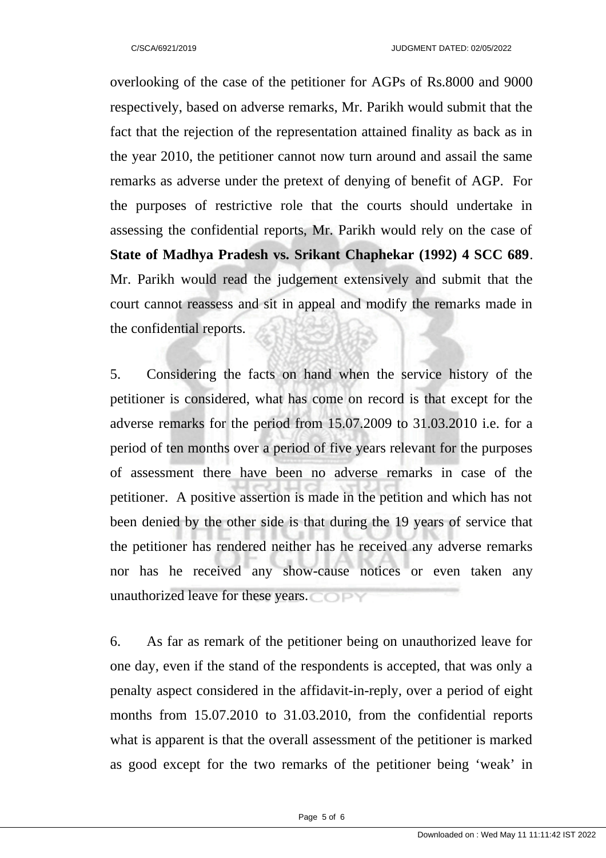overlooking of the case of the petitioner for AGPs of Rs.8000 and 9000 respectively, based on adverse remarks, Mr. Parikh would submit that the fact that the rejection of the representation attained finality as back as in the year 2010, the petitioner cannot now turn around and assail the same remarks as adverse under the pretext of denying of benefit of AGP. For the purposes of restrictive role that the courts should undertake in assessing the confidential reports, Mr. Parikh would rely on the case of **State of Madhya Pradesh vs. Srikant Chaphekar (1992) 4 SCC 689**. Mr. Parikh would read the judgement extensively and submit that the court cannot reassess and sit in appeal and modify the remarks made in the confidential reports.

5. Considering the facts on hand when the service history of the petitioner is considered, what has come on record is that except for the adverse remarks for the period from 15.07.2009 to 31.03.2010 i.e. for a period of ten months over a period of five years relevant for the purposes of assessment there have been no adverse remarks in case of the petitioner. A positive assertion is made in the petition and which has not been denied by the other side is that during the 19 years of service that the petitioner has rendered neither has he received any adverse remarks nor has he received any show-cause notices or even taken any unauthorized leave for these years.

6. As far as remark of the petitioner being on unauthorized leave for one day, even if the stand of the respondents is accepted, that was only a penalty aspect considered in the affidavit-in-reply, over a period of eight months from 15.07.2010 to 31.03.2010, from the confidential reports what is apparent is that the overall assessment of the petitioner is marked as good except for the two remarks of the petitioner being 'weak' in